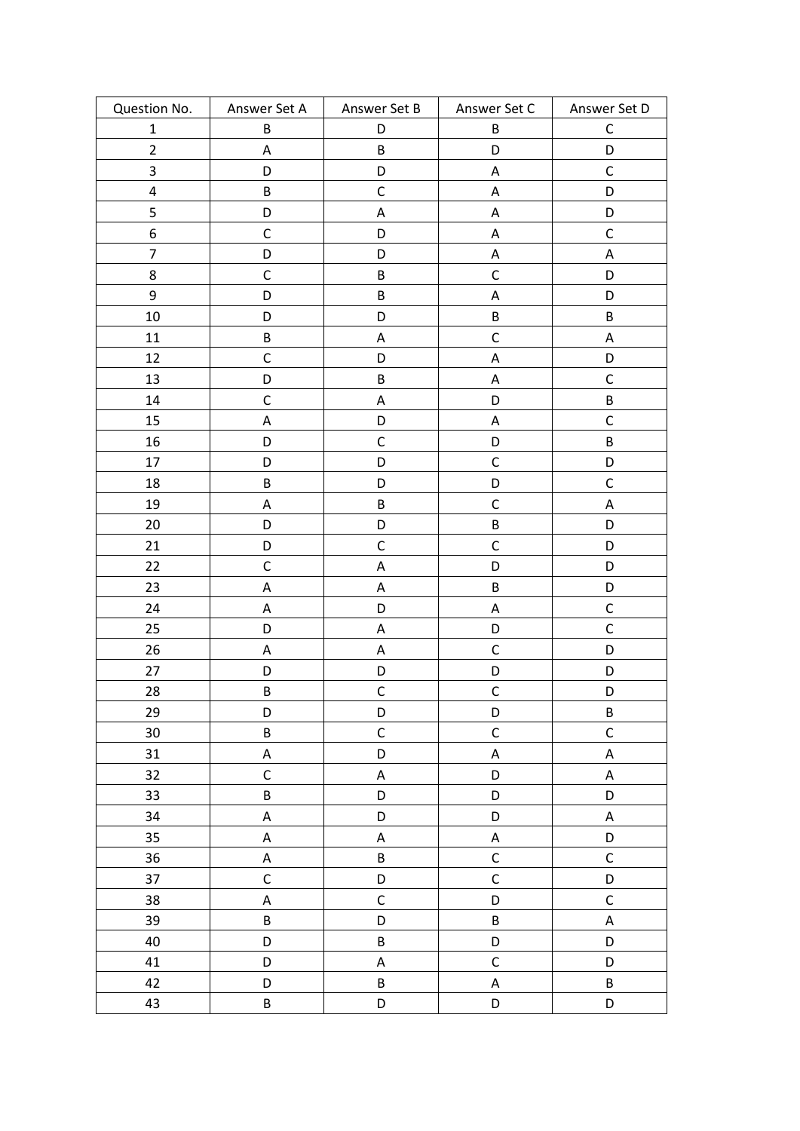| Question No.            | Answer Set A | Answer Set B | Answer Set C              | Answer Set D |
|-------------------------|--------------|--------------|---------------------------|--------------|
| $\mathbf{1}$            | B            | D            | B                         | $\mathsf C$  |
| $\overline{2}$          | A            | B            | D                         | D            |
| 3                       | D            | D            | A                         | $\mathsf C$  |
| $\overline{\mathbf{4}}$ | $\sf B$      | $\mathsf C$  | $\mathsf A$               | D            |
| 5                       | D            | A            | A                         | D            |
| $\boldsymbol{6}$        | $\mathsf C$  | D            | A                         | $\mathsf C$  |
| $\overline{7}$          | D            | D            | A                         | ${\sf A}$    |
| 8                       | $\mathsf C$  | B            | $\mathsf C$               | D            |
| 9                       | D            | B            | $\mathsf A$               | D            |
| 10                      | D            | D            | B                         | $\sf B$      |
| 11                      | $\sf B$      | A            | $\mathsf C$               | $\mathsf A$  |
| 12                      | $\mathsf C$  | D            | A                         | D            |
| 13                      | D            | B            | $\boldsymbol{\mathsf{A}}$ | $\mathsf C$  |
| 14                      | $\mathsf C$  | $\mathsf A$  | D                         | $\sf B$      |
| 15                      | A            | D            | A                         | $\mathsf C$  |
| 16                      | D            | $\mathsf C$  | D                         | $\sf B$      |
| 17                      | D            | D            | $\mathsf{C}$              | D            |
| 18                      | $\sf B$      | D            | D                         | $\mathsf C$  |
| 19                      | A            | B            | $\mathsf C$               | $\mathsf A$  |
| 20                      | D            | D            | B                         | D            |
| 21                      | D            | $\mathsf C$  | $\mathsf C$               | D            |
| 22                      | $\mathsf C$  | A            | D                         | D            |
| 23                      | A            | A            | $\sf B$                   | D            |
| 24                      | Α            | D            | A                         | $\mathsf C$  |
| 25                      | D            | $\mathsf A$  | D                         | $\mathsf C$  |
| 26                      | A            | Α            | $\mathsf C$               | D            |
| 27                      | D            | D            | D                         | D            |
| 28                      | $\sf B$      | $\mathsf C$  | $\mathsf C$               | D            |
| 29                      | D            | D            | D                         | $\sf B$      |
| 30                      | $\sf B$      | $\mathsf C$  | $\mathsf C$               | $\mathsf C$  |
| 31                      | A            | D            | $\mathsf A$               | $\mathsf A$  |
| 32                      | $\mathsf C$  | $\mathsf A$  | D                         | $\mathsf A$  |
| 33                      | B            | D            | D                         | D            |
| 34                      | A            | D            | D                         | A            |
| 35                      | A            | $\mathsf A$  | $\boldsymbol{\mathsf{A}}$ | D            |
| 36                      | A            | B            | $\mathsf C$               | $\mathsf C$  |
| 37                      | $\mathsf C$  | D            | $\mathsf C$               | D            |
| 38                      | A            | $\mathsf{C}$ | D                         | $\mathsf C$  |
| 39                      | $\sf B$      | D            | B                         | $\mathsf A$  |
| 40                      | D            | B            | D                         | D            |
| 41                      | D            | $\mathsf A$  | $\mathsf C$               | D            |
| 42                      | D            | B            | $\boldsymbol{\mathsf{A}}$ | $\sf B$      |
| 43                      | $\sf B$      | D            | D                         | D            |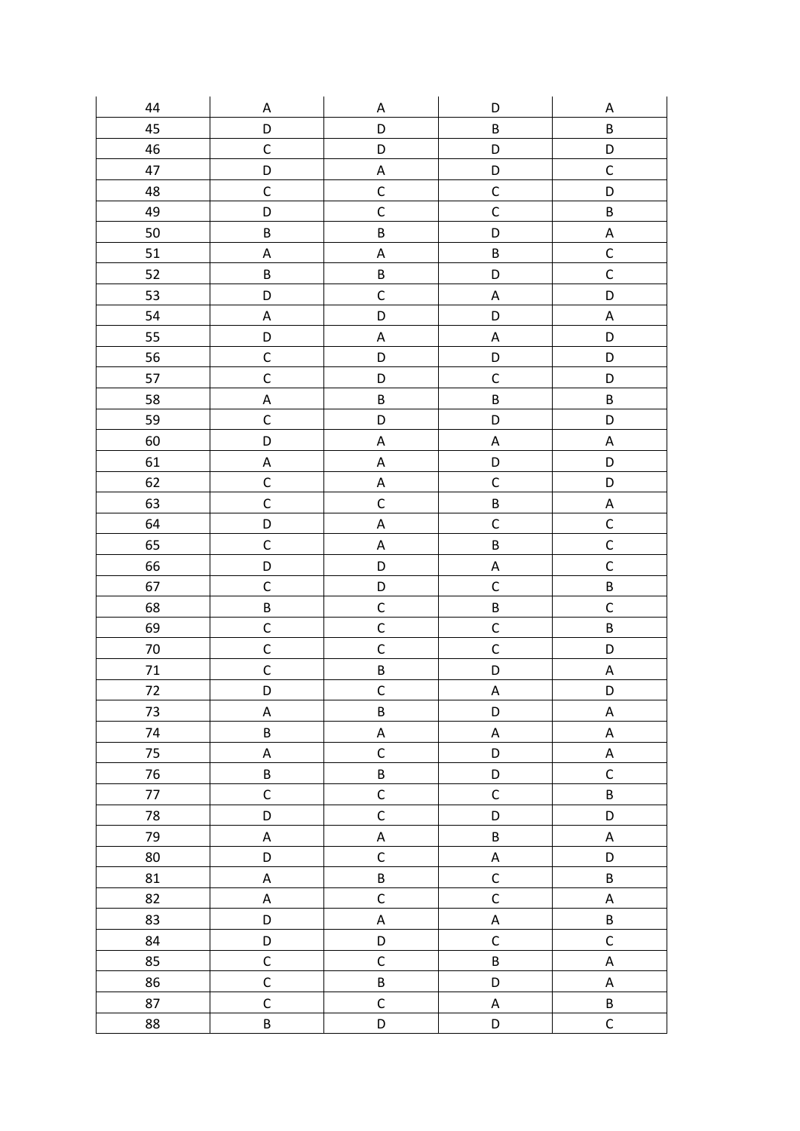| 44     | A            | A                         | D                         | Α                         |
|--------|--------------|---------------------------|---------------------------|---------------------------|
| 45     | D            | D                         | $\sf B$                   | $\sf B$                   |
| 46     | $\mathsf C$  | D                         | D                         | D                         |
| 47     | D            | $\boldsymbol{\mathsf{A}}$ | D                         | $\mathsf C$               |
| 48     | $\mathsf C$  | $\mathsf C$               | $\mathsf C$               | D                         |
| 49     | D            | $\mathsf{C}$              | $\mathsf{C}$              | $\sf B$                   |
| 50     | $\sf B$      | $\sf B$                   | D                         | $\boldsymbol{\mathsf{A}}$ |
| 51     | A            | $\boldsymbol{\mathsf{A}}$ | $\sf B$                   | $\mathsf{C}$              |
| 52     | $\sf B$      | $\sf B$                   | D                         | $\mathsf{C}$              |
| 53     | D            | $\mathsf C$               | A                         | D                         |
| 54     | A            | D                         | D                         | $\boldsymbol{\mathsf{A}}$ |
| 55     | D            | $\mathsf A$               | $\boldsymbol{\mathsf{A}}$ | D                         |
| 56     | $\mathsf C$  | D                         | D                         | D                         |
| 57     | $\mathsf{C}$ | D                         | $\mathsf C$               | D                         |
| 58     | A            | $\sf B$                   | $\sf B$                   | $\sf B$                   |
| 59     | $\mathsf C$  | D                         | D                         | D                         |
| 60     | D            | $\mathsf A$               | $\boldsymbol{\mathsf{A}}$ | $\boldsymbol{\mathsf{A}}$ |
| 61     | A            | $\mathsf A$               | D                         | D                         |
| 62     | $\mathsf C$  | $\mathsf A$               | $\mathsf C$               | D                         |
| 63     | $\mathsf{C}$ | $\mathsf C$               | $\sf B$                   | A                         |
| 64     | D            | $\boldsymbol{\mathsf{A}}$ | $\mathsf C$               | $\mathsf{C}$              |
| 65     | $\mathsf C$  | $\boldsymbol{\mathsf{A}}$ | $\overline{B}$            | $\mathsf C$               |
| 66     | D            | D                         | $\boldsymbol{\mathsf{A}}$ | $\mathsf{C}$              |
| 67     | $\mathsf C$  | D                         | $\mathsf{C}$              | $\sf B$                   |
| 68     | B            | $\mathsf C$               | B                         | $\mathsf C$               |
| 69     | $\mathsf C$  | $\mathsf C$               | $\mathsf{C}$              | $\sf B$                   |
| 70     | $\mathsf C$  | $\mathsf C$               | $\mathsf{C}$              | D                         |
| $71\,$ | $\mathsf C$  | $\sf B$                   | D                         | $\boldsymbol{\mathsf{A}}$ |
| $72\,$ | D            | $\mathsf C$               | $\boldsymbol{\mathsf{A}}$ | D                         |
| 73     | A            | $\sf B$                   | D                         | $\mathsf A$               |
| 74     | B            | $\mathsf A$               | $\mathsf A$               | $\boldsymbol{\mathsf{A}}$ |
| 75     | A            | $\mathsf C$               | D                         | $\mathsf A$               |
| 76     | $\sf B$      | B                         | D                         | $\mathsf C$               |
| 77     | $\mathsf C$  | $\mathsf C$               | $\mathsf C$               | $\sf B$                   |
| 78     | D            | $\mathsf C$               | D                         | D                         |
| 79     | A            | $\mathsf A$               | $\sf B$                   | $\boldsymbol{\mathsf{A}}$ |
| 80     | D            | $\mathsf C$               | $\mathsf A$               | D                         |
| 81     | A            | $\sf B$                   | $\mathsf C$               | $\sf B$                   |
| 82     | A            | $\mathsf C$               | $\mathsf C$               | $\mathsf A$               |
| 83     | D            | $\mathsf A$               | $\mathsf A$               | $\sf B$                   |
| 84     | D            | D                         | $\mathsf C$               | $\mathsf C$               |
| 85     | $\mathsf C$  | $\mathsf C$               | $\sf B$                   | $\mathsf A$               |
| 86     | $\mathsf C$  | $\sf B$                   | D                         | $\mathsf A$               |
| 87     | $\mathsf C$  | $\mathsf C$               | A                         | $\sf B$                   |
| 88     | $\sf B$      | D                         | D                         | $\mathsf C$               |